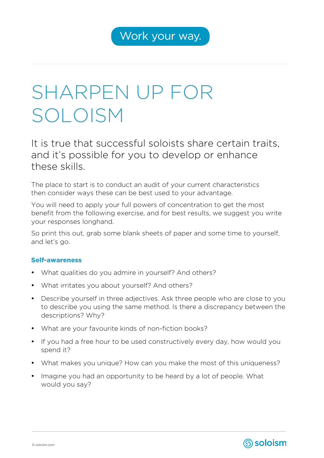## SHARPEN UP FOR SOLOISM

It is true that successful soloists share certain traits, and it's possible for you to develop or enhance these skills.

The place to start is to conduct an audit of your current characteristics then consider ways these can be best used to your advantage.

You will need to apply your full powers of concentration to get the most benefit from the following exercise, and for best results, we suggest you write your responses longhand.

So print this out, grab some blank sheets of paper and some time to yourself, and let's go.

## Self-awareness

- What qualities do you admire in yourself? And others?
- What irritates you about yourself? And others?
- Describe yourself in three adjectives. Ask three people who are close to you to describe you using the same method. Is there a discrepancy between the descriptions? Why?
- What are your favourite kinds of non-fiction books?
- If you had a free hour to be used constructively every day, how would you spend it?
- What makes you unique? How can you make the most of this uniqueness?
- Imagine you had an opportunity to be heard by a lot of people. What would you say?